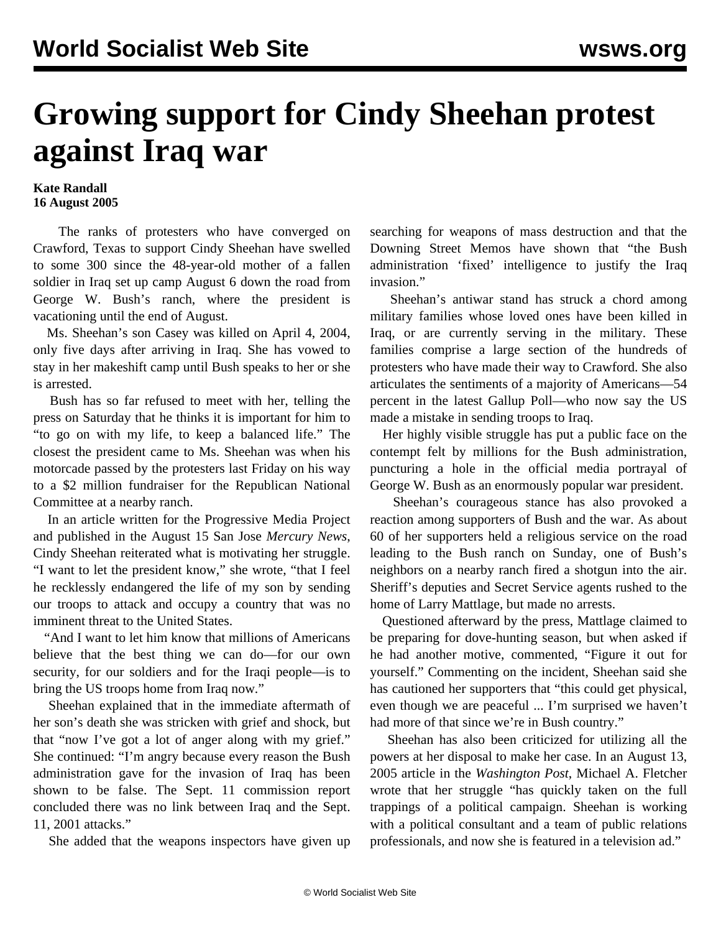## **Growing support for Cindy Sheehan protest against Iraq war**

## **Kate Randall 16 August 2005**

 The ranks of protesters who have converged on Crawford, Texas to support Cindy Sheehan have swelled to some 300 since the 48-year-old mother of a fallen soldier in Iraq set up camp August 6 down the road from George W. Bush's ranch, where the president is vacationing until the end of August.

 Ms. Sheehan's son Casey was killed on April 4, 2004, only five days after arriving in Iraq. She has vowed to stay in her makeshift camp until Bush speaks to her or she is arrested.

 Bush has so far refused to meet with her, telling the press on Saturday that he thinks it is important for him to "to go on with my life, to keep a balanced life." The closest the president came to Ms. Sheehan was when his motorcade passed by the protesters last Friday on his way to a \$2 million fundraiser for the Republican National Committee at a nearby ranch.

 In an article written for the Progressive Media Project and published in the August 15 San Jose *Mercury News*, Cindy Sheehan reiterated what is motivating her struggle. "I want to let the president know," she wrote, "that I feel he recklessly endangered the life of my son by sending our troops to attack and occupy a country that was no imminent threat to the United States.

 "And I want to let him know that millions of Americans believe that the best thing we can do—for our own security, for our soldiers and for the Iraqi people—is to bring the US troops home from Iraq now."

 Sheehan explained that in the immediate aftermath of her son's death she was stricken with grief and shock, but that "now I've got a lot of anger along with my grief." She continued: "I'm angry because every reason the Bush administration gave for the invasion of Iraq has been shown to be false. The Sept. 11 commission report concluded there was no link between Iraq and the Sept. 11, 2001 attacks."

She added that the weapons inspectors have given up

searching for weapons of mass destruction and that the Downing Street Memos have shown that "the Bush administration 'fixed' intelligence to justify the Iraq invasion."

 Sheehan's antiwar stand has struck a chord among military families whose loved ones have been killed in Iraq, or are currently serving in the military. These families comprise a large section of the hundreds of protesters who have made their way to Crawford. She also articulates the sentiments of a majority of Americans—54 percent in the latest Gallup Poll—who now say the US made a mistake in sending troops to Iraq.

 Her highly visible struggle has put a public face on the contempt felt by millions for the Bush administration, puncturing a hole in the official media portrayal of George W. Bush as an enormously popular war president.

 Sheehan's courageous stance has also provoked a reaction among supporters of Bush and the war. As about 60 of her supporters held a religious service on the road leading to the Bush ranch on Sunday, one of Bush's neighbors on a nearby ranch fired a shotgun into the air. Sheriff's deputies and Secret Service agents rushed to the home of Larry Mattlage, but made no arrests.

 Questioned afterward by the press, Mattlage claimed to be preparing for dove-hunting season, but when asked if he had another motive, commented, "Figure it out for yourself." Commenting on the incident, Sheehan said she has cautioned her supporters that "this could get physical, even though we are peaceful ... I'm surprised we haven't had more of that since we're in Bush country."

 Sheehan has also been criticized for utilizing all the powers at her disposal to make her case. In an August 13, 2005 article in the *Washington Post*, Michael A. Fletcher wrote that her struggle "has quickly taken on the full trappings of a political campaign. Sheehan is working with a political consultant and a team of public relations professionals, and now she is featured in a television ad."